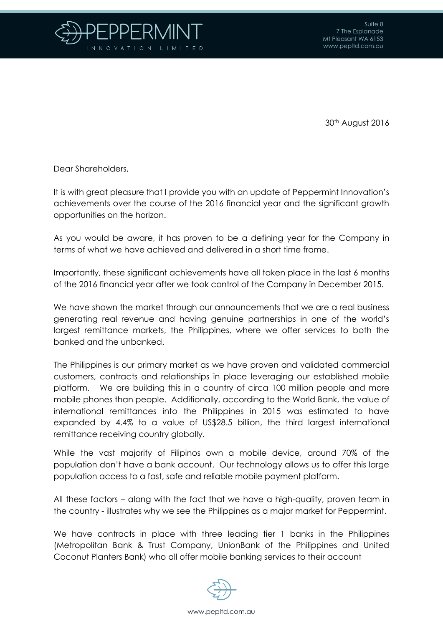

30th August 2016

Dear Shareholders,

It is with great pleasure that I provide you with an update of Peppermint Innovation's achievements over the course of the 2016 financial year and the significant growth opportunities on the horizon.

As you would be aware, it has proven to be a defining year for the Company in terms of what we have achieved and delivered in a short time frame.

Importantly, these significant achievements have all taken place in the last 6 months of the 2016 financial year after we took control of the Company in December 2015.

We have shown the market through our announcements that we are a real business generating real revenue and having genuine partnerships in one of the world's largest remittance markets, the Philippines, where we offer services to both the banked and the unbanked.

The Philippines is our primary market as we have proven and validated commercial customers, contracts and relationships in place leveraging our established mobile platform. We are building this in a country of circa 100 million people and more mobile phones than people. Additionally, according to the World Bank, the value of international remittances into the Philippines in 2015 was estimated to have expanded by 4.4% to a value of US\$28.5 billion, the third largest international remittance receiving country globally.

While the vast majority of Filipinos own a mobile device, around 70% of the population don't have a bank account. Our technology allows us to offer this large population access to a fast, safe and reliable mobile payment platform.

All these factors – along with the fact that we have a high-quality, proven team in the country - illustrates why we see the Philippines as a major market for Peppermint.

We have contracts in place with three leading tier 1 banks in the Philippines (Metropolitan Bank & Trust Company, UnionBank of the Philippines and United Coconut Planters Bank) who all offer mobile banking services to their account

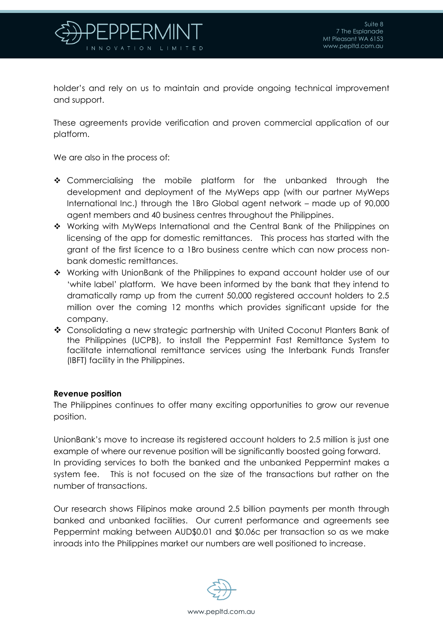

holder's and rely on us to maintain and provide ongoing technical improvement and support.

These agreements provide verification and proven commercial application of our platform.

We are also in the process of:

- \* Commercialising the mobile platform for the unbanked through the development and deployment of the MyWeps app (with our partner MyWeps International Inc.) through the 1Bro Global agent network – made up of 90,000 agent members and 40 business centres throughout the Philippines.
- Working with MyWeps International and the Central Bank of the Philippines on licensing of the app for domestic remittances. This process has started with the grant of the first licence to a 1Bro business centre which can now process nonbank domestic remittances.
- Working with UnionBank of the Philippines to expand account holder use of our 'white label' platform. We have been informed by the bank that they intend to dramatically ramp up from the current 50,000 registered account holders to 2.5 million over the coming 12 months which provides significant upside for the company.
- Consolidating a new strategic partnership with United Coconut Planters Bank of the Philippines (UCPB), to install the Peppermint Fast Remittance System to facilitate international remittance services using the Interbank Funds Transfer (IBFT) facility in the Philippines.

## **Revenue position**

The Philippines continues to offer many exciting opportunities to grow our revenue position.

UnionBank's move to increase its registered account holders to 2.5 million is just one example of where our revenue position will be significantly boosted going forward. In providing services to both the banked and the unbanked Peppermint makes a system fee. This is not focused on the size of the transactions but rather on the number of transactions.

Our research shows Filipinos make around 2.5 billion payments per month through banked and unbanked facilities. Our current performance and agreements see Peppermint making between AUD\$0.01 and \$0.06c per transaction so as we make inroads into the Philippines market our numbers are well positioned to increase.